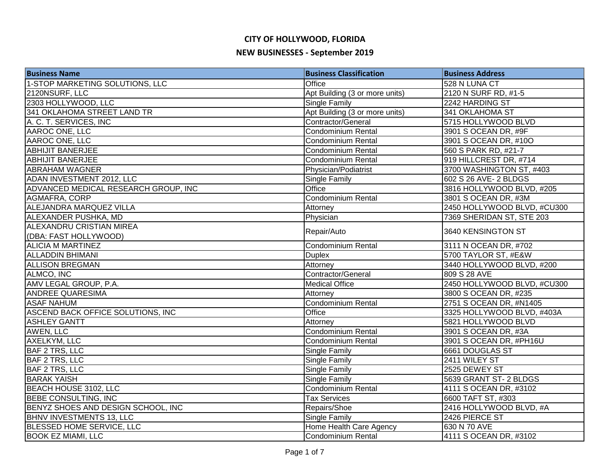| <b>Business Name</b>                 | <b>Business Classification</b> | <b>Business Address</b>     |
|--------------------------------------|--------------------------------|-----------------------------|
| 1-STOP MARKETING SOLUTIONS, LLC      | Office                         | 528 N LUNA CT               |
| 2120NSURF, LLC                       | Apt Building (3 or more units) | 2120 N SURF RD, #1-5        |
| 2303 HOLLYWOOD, LLC                  | <b>Single Family</b>           | 2242 HARDING ST             |
| 341 OKLAHOMA STREET LAND TR          | Apt Building (3 or more units) | 341 OKLAHOMA ST             |
| A. C. T. SERVICES, INC               | Contractor/General             | 5715 HOLLYWOOD BLVD         |
| AAROC ONE, LLC                       | Condominium Rental             | 3901 S OCEAN DR, #9F        |
| AAROC ONE, LLC                       | Condominium Rental             | 3901 S OCEAN DR, #10O       |
| <b>ABHIJIT BANERJEE</b>              | Condominium Rental             | 560 S PARK RD, #21-7        |
| <b>ABHIJIT BANERJEE</b>              | Condominium Rental             | 919 HILLCREST DR, #714      |
| <b>ABRAHAM WAGNER</b>                | Physician/Podiatrist           | 3700 WASHINGTON ST, #403    |
| ADAN INVESTMENT 2012, LLC            | <b>Single Family</b>           | 602 S 26 AVE- 2 BLDGS       |
| ADVANCED MEDICAL RESEARCH GROUP, INC | Office                         | 3816 HOLLYWOOD BLVD, #205   |
| AGMAFRA, CORP                        | <b>Condominium Rental</b>      | 3801 S OCEAN DR, #3M        |
| ALEJANDRA MARQUEZ VILLA              | Attorney                       | 2450 HOLLYWOOD BLVD, #CU300 |
| ALEXANDER PUSHKA, MD                 | Physician                      | 7369 SHERIDAN ST, STE 203   |
| <b>ALEXANDRU CRISTIAN MIREA</b>      |                                |                             |
| (DBA: FAST HOLLYWOOD)                | Repair/Auto                    | 3640 KENSINGTON ST          |
| <b>ALICIA M MARTINEZ</b>             | Condominium Rental             | 3111 N OCEAN DR, #702       |
| <b>ALLADDIN BHIMANI</b>              | <b>Duplex</b>                  | 5700 TAYLOR ST, #E&W        |
| <b>ALLISON BREGMAN</b>               | Attorney                       | 3440 HOLLYWOOD BLVD, #200   |
| ALMCO, INC                           | Contractor/General             | 809 S 28 AVE                |
| AMV LEGAL GROUP, P.A.                | <b>Medical Office</b>          | 2450 HOLLYWOOD BLVD, #CU300 |
| <b>ANDREE QUARESIMA</b>              | Attorney                       | 3800 S OCEAN DR, #235       |
| <b>ASAF NAHUM</b>                    | Condominium Rental             | 2751 S OCEAN DR, #N1405     |
| ASCEND BACK OFFICE SOLUTIONS, INC    | Office                         | 3325 HOLLYWOOD BLVD, #403A  |
| <b>ASHLEY GANTT</b>                  | Attorney                       | 5821 HOLLYWOOD BLVD         |
| AWEN, LLC                            | <b>Condominium Rental</b>      | 3901 S OCEAN DR, #3A        |
| AXELKYM, LLC                         | Condominium Rental             | 3901 S OCEAN DR, #PH16U     |
| <b>BAF 2 TRS, LLC</b>                | <b>Single Family</b>           | 6661 DOUGLAS ST             |
| <b>BAF 2 TRS, LLC</b>                | <b>Single Family</b>           | 2411 WILEY ST               |
| <b>BAF 2 TRS, LLC</b>                | <b>Single Family</b>           | 2525 DEWEY ST               |
| <b>BARAK YAISH</b>                   | <b>Single Family</b>           | 5639 GRANT ST-2 BLDGS       |
| BEACH HOUSE 3102, LLC                | Condominium Rental             | 4111 S OCEAN DR, #3102      |
| <b>BEBE CONSULTING, INC</b>          | <b>Tax Services</b>            | 6600 TAFT ST, #303          |
| BENYZ SHOES AND DESIGN SCHOOL, INC   | Repairs/Shoe                   | 2416 HOLLYWOOD BLVD, #A     |
| <b>BHNV INVESTMENTS 13, LLC</b>      | <b>Single Family</b>           | 2426 PIERCE ST              |
| <b>BLESSED HOME SERVICE, LLC</b>     | Home Health Care Agency        | 630 N 70 AVE                |
| <b>BOOK EZ MIAMI, LLC</b>            | Condominium Rental             | 4111 S OCEAN DR, #3102      |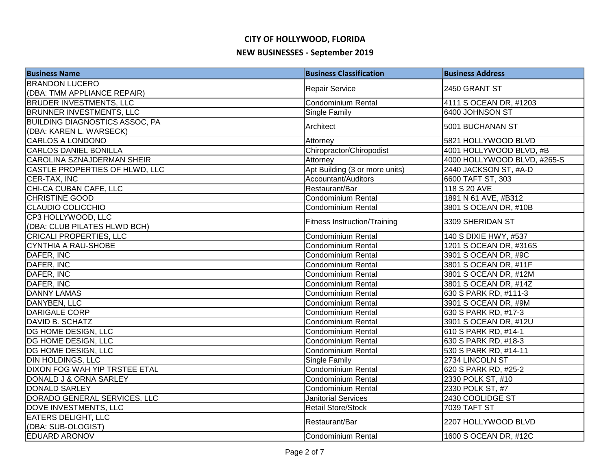| <b>Business Name</b>                  | <b>Business Classification</b>      | <b>Business Address</b>     |
|---------------------------------------|-------------------------------------|-----------------------------|
| <b>BRANDON LUCERO</b>                 |                                     |                             |
| (DBA: TMM APPLIANCE REPAIR)           | <b>Repair Service</b>               | 2450 GRANT ST               |
| <b>BRUDER INVESTMENTS, LLC</b>        | Condominium Rental                  | 4111 S OCEAN DR, #1203      |
| <b>BRUNNER INVESTMENTS, LLC</b>       | Single Family                       | 6400 JOHNSON ST             |
| <b>BUILDING DIAGNOSTICS ASSOC, PA</b> | Architect                           | 5001 BUCHANAN ST            |
| (DBA: KAREN L. WARSECK)               |                                     |                             |
| <b>CARLOS A LONDONO</b>               | Attorney                            | 5821 HOLLYWOOD BLVD         |
| <b>CARLOS DANIEL BONILLA</b>          | Chiropractor/Chiropodist            | 4001 HOLLYWOOD BLVD, #B     |
| <b>CAROLINA SZNAJDERMAN SHEIR</b>     | Attorney                            | 4000 HOLLYWOOD BLVD, #265-S |
| CASTLE PROPERTIES OF HLWD, LLC        | Apt Building (3 or more units)      | 2440 JACKSON ST, #A-D       |
| CER-TAX, INC                          | Accountant/Auditors                 | 6600 TAFT ST, 303           |
| CHI-CA CUBAN CAFE, LLC                | Restaurant/Bar                      | 118 S 20 AVE                |
| CHRISTINE GOOD                        | Condominium Rental                  | 1891 N 61 AVE, #B312        |
| <b>CLAUDIO COLICCHIO</b>              | <b>Condominium Rental</b>           | 3801 S OCEAN DR, #10B       |
| CP3 HOLLYWOOD, LLC                    |                                     |                             |
| (DBA: CLUB PILATES HLWD BCH)          | <b>Fitness Instruction/Training</b> | 3309 SHERIDAN ST            |
| <b>CRICALI PROPERTIES, LLC</b>        | Condominium Rental                  | 140 S DIXIE HWY, #537       |
| <b>CYNTHIA A RAU-SHOBE</b>            | <b>Condominium Rental</b>           | 1201 S OCEAN DR, #316S      |
| DAFER, INC                            | Condominium Rental                  | 3901 S OCEAN DR, #9C        |
| DAFER, INC                            | Condominium Rental                  | 3801 S OCEAN DR, #11F       |
| DAFER, INC                            | Condominium Rental                  | 3801 S OCEAN DR, #12M       |
| DAFER, INC                            | Condominium Rental                  | 3801 S OCEAN DR, #14Z       |
| <b>DANNY LAMAS</b>                    | Condominium Rental                  | 630 S PARK RD, #111-3       |
| DANYBEN, LLC                          | <b>Condominium Rental</b>           | 3901 S OCEAN DR, #9M        |
| <b>DARIGALE CORP</b>                  | <b>Condominium Rental</b>           | 630 S PARK RD, #17-3        |
| DAVID B. SCHATZ                       | <b>Condominium Rental</b>           | 3901 S OCEAN DR, #12U       |
| DG HOME DESIGN, LLC                   | Condominium Rental                  | 610 S PARK RD, #14-1        |
| <b>DG HOME DESIGN, LLC</b>            | Condominium Rental                  | 630 S PARK RD, #18-3        |
| <b>DG HOME DESIGN, LLC</b>            | Condominium Rental                  | 530 S PARK RD, #14-11       |
| <b>DIN HOLDINGS, LLC</b>              | Single Family                       | 2734 LINCOLN ST             |
| <b>DIXON FOG WAH YIP TRSTEE ETAL</b>  | Condominium Rental                  | 620 S PARK RD, #25-2        |
| DONALD J & ORNA SARLEY                | Condominium Rental                  | 2330 POLK ST, #10           |
| <b>DONALD SARLEY</b>                  | <b>Condominium Rental</b>           | 2330 POLK ST, #7            |
| DORADO GENERAL SERVICES, LLC          | <b>Janitorial Services</b>          | 2430 COOLIDGE ST            |
| <b>DOVE INVESTMENTS, LLC</b>          | <b>Retail Store/Stock</b>           | <b>7039 TAFT ST</b>         |
| <b>EATERS DELIGHT, LLC</b>            |                                     |                             |
| (DBA: SUB-OLOGIST)                    | Restaurant/Bar                      | 2207 HOLLYWOOD BLVD         |
| <b>EDUARD ARONOV</b>                  | Condominium Rental                  | 1600 S OCEAN DR, #12C       |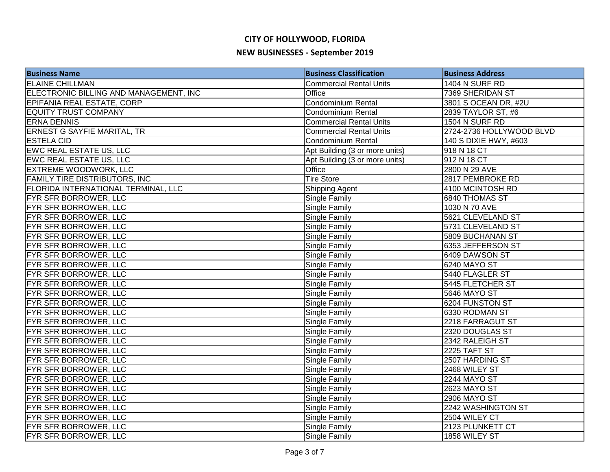| <b>Business Name</b>                       | <b>Business Classification</b> | <b>Business Address</b>  |
|--------------------------------------------|--------------------------------|--------------------------|
| <b>ELAINE CHILLMAN</b>                     | <b>Commercial Rental Units</b> | 1404 N SURF RD           |
| ELECTRONIC BILLING AND MANAGEMENT, INC     | <b>Office</b>                  | 7369 SHERIDAN ST         |
| EPIFANIA REAL ESTATE, CORP                 | Condominium Rental             | 3801 S OCEAN DR, #2U     |
| <b>EQUITY TRUST COMPANY</b>                | <b>Condominium Rental</b>      | 2839 TAYLOR ST, #6       |
| <b>ERNA DENNIS</b>                         | <b>Commercial Rental Units</b> | 1504 N SURF RD           |
| ERNEST G SAYFIE MARITAL, TR                | <b>Commercial Rental Units</b> | 2724-2736 HOLLYWOOD BLVD |
| <b>ESTELA CID</b>                          | Condominium Rental             | 140 S DIXIE HWY, #603    |
| <b>EWC REAL ESTATE US, LLC</b>             | Apt Building (3 or more units) | 918 N 18 CT              |
| <b>EWC REAL ESTATE US, LLC</b>             | Apt Building (3 or more units) | 912 N 18 CT              |
| <b>EXTREME WOODWORK, LLC</b>               | Office                         | 2800 N 29 AVE            |
| <b>FAMILY TIRE DISTRIBUTORS, INC</b>       | <b>Tire Store</b>              | 2817 PEMBROKE RD         |
| <b>FLORIDA INTERNATIONAL TERMINAL, LLC</b> | <b>Shipping Agent</b>          | 4100 MCINTOSH RD         |
| <b>FYR SFR BORROWER, LLC</b>               | Single Family                  | 6840 THOMAS ST           |
| FYR SFR BORROWER, LLC                      | Single Family                  | 1030 N 70 AVE            |
| FYR SFR BORROWER, LLC                      | Single Family                  | 5621 CLEVELAND ST        |
| FYR SFR BORROWER, LLC                      | <b>Single Family</b>           | 5731 CLEVELAND ST        |
| FYR SFR BORROWER, LLC                      | <b>Single Family</b>           | 5809 BUCHANAN ST         |
| FYR SFR BORROWER, LLC                      | <b>Single Family</b>           | 6353 JEFFERSON ST        |
| FYR SFR BORROWER, LLC                      | <b>Single Family</b>           | 6409 DAWSON ST           |
| FYR SFR BORROWER, LLC                      | <b>Single Family</b>           | 6240 MAYO ST             |
| FYR SFR BORROWER, LLC                      | <b>Single Family</b>           | 5440 FLAGLER ST          |
| FYR SFR BORROWER, LLC                      | <b>Single Family</b>           | 5445 FLETCHER ST         |
| <b>FYR SFR BORROWER, LLC</b>               | <b>Single Family</b>           | 5646 MAYO ST             |
| FYR SFR BORROWER, LLC                      | <b>Single Family</b>           | 6204 FUNSTON ST          |
| <b>FYR SFR BORROWER, LLC</b>               | <b>Single Family</b>           | 6330 RODMAN ST           |
| FYR SFR BORROWER, LLC                      | <b>Single Family</b>           | 2218 FARRAGUT ST         |
| <b>FYR SFR BORROWER, LLC</b>               | <b>Single Family</b>           | 2320 DOUGLAS ST          |
| FYR SFR BORROWER, LLC                      | <b>Single Family</b>           | 2342 RALEIGH ST          |
| <b>FYR SFR BORROWER, LLC</b>               | <b>Single Family</b>           | <b>2225 TAFT ST</b>      |
| FYR SFR BORROWER, LLC                      | <b>Single Family</b>           | 2507 HARDING ST          |
| <b>FYR SFR BORROWER, LLC</b>               | <b>Single Family</b>           | 2468 WILEY ST            |
| FYR SFR BORROWER, LLC                      | Single Family                  | 2244 MAYO ST             |
| <b>FYR SFR BORROWER, LLC</b>               | Single Family                  | <b>2623 MAYO ST</b>      |
| <b>FYR SFR BORROWER, LLC</b>               | <b>Single Family</b>           | <b>2906 MAYO ST</b>      |
| <b>FYR SFR BORROWER, LLC</b>               | <b>Single Family</b>           | 2242 WASHINGTON ST       |
| FYR SFR BORROWER, LLC                      | <b>Single Family</b>           | 2504 WILEY CT            |
| FYR SFR BORROWER, LLC                      | <b>Single Family</b>           | 2123 PLUNKETT CT         |
| FYR SFR BORROWER, LLC                      | <b>Single Family</b>           | 1858 WILEY ST            |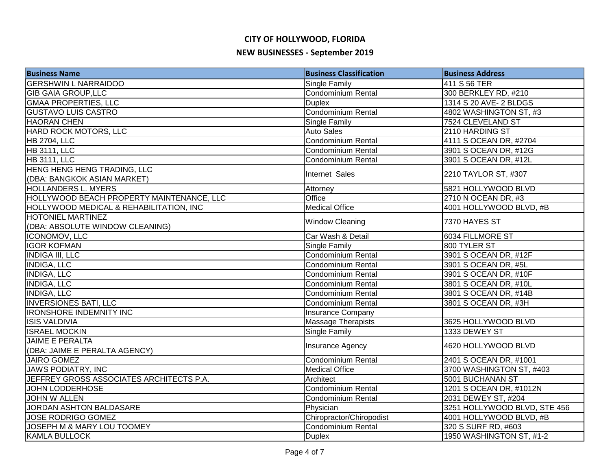| <b>Business Name</b>                                       | <b>Business Classification</b> | <b>Business Address</b>      |
|------------------------------------------------------------|--------------------------------|------------------------------|
| <b>GERSHWIN L NARRAIDOO</b>                                | Single Family                  | 411 S 56 TER                 |
| <b>GIB GAIA GROUP, LLC</b>                                 | Condominium Rental             | 300 BERKLEY RD, #210         |
| <b>GMAA PROPERTIES, LLC</b>                                | <b>Duplex</b>                  | 1314 S 20 AVE- 2 BLDGS       |
| <b>GUSTAVO LUIS CASTRO</b>                                 | Condominium Rental             | 4802 WASHINGTON ST, #3       |
| <b>HAORAN CHEN</b>                                         | Single Family                  | 7524 CLEVELAND ST            |
| HARD ROCK MOTORS, LLC                                      | <b>Auto Sales</b>              | 2110 HARDING ST              |
| <b>HB 2704, LLC</b>                                        | Condominium Rental             | 4111 S OCEAN DR, #2704       |
| <b>HB 3111, LLC</b>                                        | Condominium Rental             | 3901 S OCEAN DR, #12G        |
| <b>HB 3111, LLC</b>                                        | Condominium Rental             | 3901 S OCEAN DR, #12L        |
| HENG HENG HENG TRADING, LLC<br>(DBA: BANGKOK ASIAN MARKET) | Internet Sales                 | 2210 TAYLOR ST, #307         |
| HOLLANDERS L. MYERS                                        | Attorney                       | 5821 HOLLYWOOD BLVD          |
| HOLLYWOOD BEACH PROPERTY MAINTENANCE, LLC                  | Office                         | 2710 N OCEAN DR, #3          |
| HOLLYWOOD MEDICAL & REHABILITATION, INC                    | <b>Medical Office</b>          | 4001 HOLLYWOOD BLVD, #B      |
| HOTONIEL MARTINEZ                                          |                                |                              |
| (DBA: ABSOLUTE WINDOW CLEANING)                            | <b>Window Cleaning</b>         | 7370 HAYES ST                |
| ICONOMOV, LLC                                              | Car Wash & Detail              | 6034 FILLMORE ST             |
| <b>IGOR KOFMAN</b>                                         | <b>Single Family</b>           | 800 TYLER ST                 |
| <b>INDIGA III, LLC</b>                                     | Condominium Rental             | 3901 S OCEAN DR, #12F        |
| <b>INDIGA, LLC</b>                                         | Condominium Rental             | 3901 S OCEAN DR, #5L         |
| <b>INDIGA, LLC</b>                                         | Condominium Rental             | 3901 S OCEAN DR, #10F        |
| <b>INDIGA, LLC</b>                                         | Condominium Rental             | 3801 S OCEAN DR, #10L        |
| <b>INDIGA, LLC</b>                                         | <b>Condominium Rental</b>      | 3801 S OCEAN DR, #14B        |
| <b>INVERSIONES BATI, LLC</b>                               | Condominium Rental             | 3801 S OCEAN DR, #3H         |
| <b>IRONSHORE INDEMNITY INC</b>                             | <b>Insurance Company</b>       |                              |
| <b>ISIS VALDIVIA</b>                                       | <b>Massage Therapists</b>      | 3625 HOLLYWOOD BLVD          |
| <b>ISRAEL MOCKIN</b>                                       | <b>Single Family</b>           | 1333 DEWEY ST                |
| <b>JAIME E PERALTA</b>                                     | Insurance Agency               | 4620 HOLLYWOOD BLVD          |
| (DBA: JAIME E PERALTA AGENCY)                              |                                |                              |
| <b>JAIRO GOMEZ</b>                                         | <b>Condominium Rental</b>      | 2401 S OCEAN DR, #1001       |
| <b>JAWS PODIATRY, INC</b>                                  | <b>Medical Office</b>          | 3700 WASHINGTON ST, #403     |
| JEFFREY GROSS ASSOCIATES ARCHITECTS P.A.                   | Architect                      | 5001 BUCHANAN ST             |
| <b>JOHN LODDERHOSE</b>                                     | Condominium Rental             | 1201 S OCEAN DR, #1012N      |
| JOHN W ALLEN                                               | <b>Condominium Rental</b>      | 2031 DEWEY ST, #204          |
| JORDAN ASHTON BALDASARE                                    | Physician                      | 3251 HOLLYWOOD BLVD, STE 456 |
| <b>JOSE RODRIGO GOMEZ</b>                                  | Chiropractor/Chiropodist       | 4001 HOLLYWOOD BLVD, #B      |
| JOSEPH M & MARY LOU TOOMEY                                 | <b>Condominium Rental</b>      | 320 S SURF RD, #603          |
| <b>KAMLA BULLOCK</b>                                       | <b>Duplex</b>                  | 1950 WASHINGTON ST, #1-2     |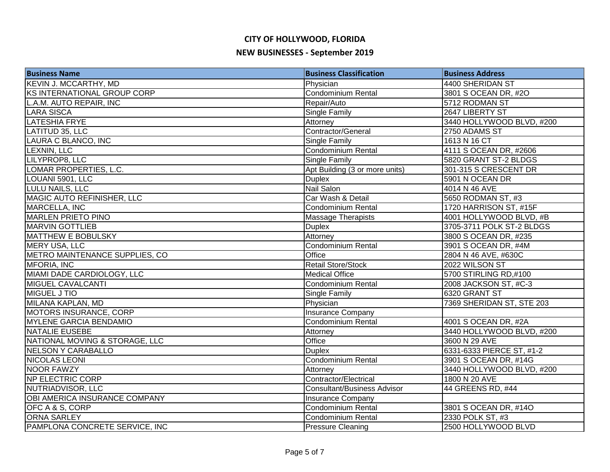| <b>Business Name</b>               | <b>Business Classification</b>     | <b>Business Address</b>   |
|------------------------------------|------------------------------------|---------------------------|
| <b>KEVIN J. MCCARTHY, MD</b>       | Physician                          | 4400 SHERIDAN ST          |
| <b>KS INTERNATIONAL GROUP CORP</b> | <b>Condominium Rental</b>          | 3801 S OCEAN DR, #2O      |
| L.A.M. AUTO REPAIR, INC            | Repair/Auto                        | 5712 RODMAN ST            |
| <b>LARA SISCA</b>                  | <b>Single Family</b>               | 2647 LIBERTY ST           |
| <b>LATESHIA FRYE</b>               | Attorney                           | 3440 HOLLYWOOD BLVD, #200 |
| LATITUD 35, LLC                    | Contractor/General                 | 2750 ADAMS ST             |
| LAURA C BLANCO, INC                | <b>Single Family</b>               | 1613 N 16 CT              |
| LEXNIN, LLC                        | Condominium Rental                 | 4111 S OCEAN DR, #2606    |
| LILYPROP8, LLC                     | Single Family                      | 5820 GRANT ST-2 BLDGS     |
| LOMAR PROPERTIES, L.C.             | Apt Building (3 or more units)     | 301-315 S CRESCENT DR     |
| LOUANI 5901, LLC                   | <b>Duplex</b>                      | 5901 N OCEAN DR           |
| LULU NAILS, LLC                    | Nail Salon                         | 4014 N 46 AVE             |
| MAGIC AUTO REFINISHER, LLC         | Car Wash & Detail                  | 5650 RODMAN ST, #3        |
| MARCELLA, INC                      | Condominium Rental                 | 1720 HARRISON ST, #15F    |
| <b>MARLEN PRIETO PINO</b>          | <b>Massage Therapists</b>          | 4001 HOLLYWOOD BLVD, #B   |
| <b>MARVIN GOTTLIEB</b>             | <b>Duplex</b>                      | 3705-3711 POLK ST-2 BLDGS |
| <b>MATTHEW E BOBULSKY</b>          | Attorney                           | 3800 S OCEAN DR, #235     |
| MERY USA, LLC                      | Condominium Rental                 | 3901 S OCEAN DR, #4M      |
| METRO MAINTENANCE SUPPLIES, CO     | Office                             | 2804 N 46 AVE, #630C      |
| MFORIA, INC                        | <b>Retail Store/Stock</b>          | 2022 WILSON ST            |
| MIAMI DADE CARDIOLOGY, LLC         | <b>Medical Office</b>              | 5700 STIRLING RD,#100     |
| MIGUEL CAVALCANTI                  | Condominium Rental                 | 2008 JACKSON ST, #C-3     |
| MIGUEL J TIO                       | <b>Single Family</b>               | 6320 GRANT ST             |
| MILANA KAPLAN, MD                  | Physician                          | 7369 SHERIDAN ST, STE 203 |
| <b>MOTORS INSURANCE, CORP</b>      | Insurance Company                  |                           |
| <b>MYLENE GARCIA BENDAMIO</b>      | Condominium Rental                 | 4001 S OCEAN DR, #2A      |
| <b>NATALIE EUSEBE</b>              | Attorney                           | 3440 HOLLYWOOD BLVD, #200 |
| NATIONAL MOVING & STORAGE, LLC     | Office                             | 3600 N 29 AVE             |
| <b>NELSON Y CARABALLO</b>          | <b>Duplex</b>                      | 6331-6333 PIERCE ST, #1-2 |
| NICOLAS LEONI                      | Condominium Rental                 | 3901 S OCEAN DR, #14G     |
| <b>NOOR FAWZY</b>                  | Attorney                           | 3440 HOLLYWOOD BLVD, #200 |
| NP ELECTRIC CORP                   | Contractor/Electrical              | 1800 N 20 AVE             |
| NUTRIADVISOR, LLC                  | <b>Consultant/Business Advisor</b> | 44 GREENS RD, #44         |
| OBI AMERICA INSURANCE COMPANY      | <b>Insurance Company</b>           |                           |
| OFC A & S, CORP                    | Condominium Rental                 | 3801 S OCEAN DR, #14O     |
| <b>ORNA SARLEY</b>                 | Condominium Rental                 | 2330 POLK ST, #3          |
| PAMPLONA CONCRETE SERVICE, INC     | <b>Pressure Cleaning</b>           | 2500 HOLLYWOOD BLVD       |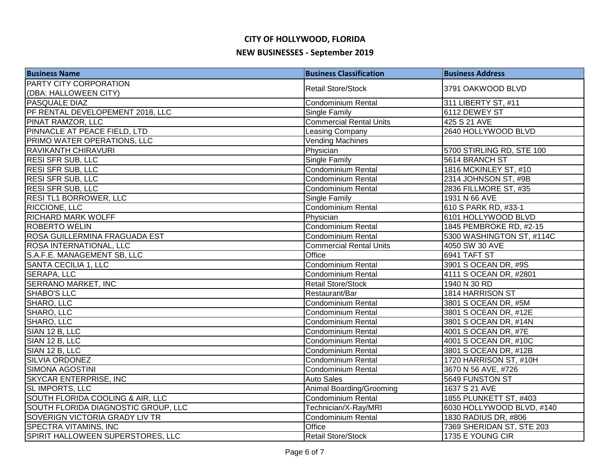| <b>Business Name</b>                | <b>Business Classification</b> | <b>Business Address</b>   |
|-------------------------------------|--------------------------------|---------------------------|
| PARTY CITY CORPORATION              | <b>Retail Store/Stock</b>      | 3791 OAKWOOD BLVD         |
| (DBA: HALLOWEEN CITY)               |                                |                           |
| <b>PASQUALE DIAZ</b>                | Condominium Rental             | 311 LIBERTY ST, #11       |
| PF RENTAL DEVELOPEMENT 2018, LLC    | Single Family                  | 6112 DEWEY ST             |
| PINAT RAMZOR, LLC                   | <b>Commercial Rental Units</b> | 425 S 21 AVE              |
| PINNACLE AT PEACE FIELD, LTD        | Leasing Company                | 2640 HOLLYWOOD BLVD       |
| PRIMO WATER OPERATIONS, LLC         | <b>Vending Machines</b>        |                           |
| <b>RAVIKANTH CHIRAVURI</b>          | Physician                      | 5700 STIRLING RD, STE 100 |
| <b>RESI SFR SUB, LLC</b>            | <b>Single Family</b>           | 5614 BRANCH ST            |
| <b>RESI SFR SUB, LLC</b>            | <b>Condominium Rental</b>      | 1816 MCKINLEY ST, #10     |
| <b>RESI SFR SUB, LLC</b>            | Condominium Rental             | 2314 JOHNSON ST, #9B      |
| <b>RESI SFR SUB, LLC</b>            | <b>Condominium Rental</b>      | 2836 FILLMORE ST, #35     |
| <b>RESI TL1 BORROWER, LLC</b>       | <b>Single Family</b>           | 1931 N 66 AVE             |
| <b>RICCIONE, LLC</b>                | Condominium Rental             | 610 S PARK RD, #33-1      |
| <b>RICHARD MARK WOLFF</b>           | Physician                      | 6101 HOLLYWOOD BLVD       |
| <b>ROBERTO WELIN</b>                | <b>Condominium Rental</b>      | 1845 PEMBROKE RD, #2-15   |
| ROSA GUILLERMINA FRAGUADA EST       | Condominium Rental             | 5300 WASHINGTON ST, #114C |
| <b>ROSA INTERNATIONAL, LLC</b>      | <b>Commercial Rental Units</b> | 4050 SW 30 AVE            |
| S.A.F.E. MANAGEMENT SB, LLC         | Office                         | 6941 TAFT ST              |
| SANTA CECILIA 1, LLC                | Condominium Rental             | 3901 S OCEAN DR, #9S      |
| SERAPA, LLC                         | Condominium Rental             | 4111 S OCEAN DR, #2801    |
| <b>SERRANO MARKET, INC</b>          | <b>Retail Store/Stock</b>      | 1940 N 30 RD              |
| SHABO'S LLC                         | Restaurant/Bar                 | 1814 HARRISON ST          |
| SHARO, LLC                          | Condominium Rental             | 3801 S OCEAN DR, #5M      |
| SHARO, LLC                          | <b>Condominium Rental</b>      | 3801 S OCEAN DR, #12E     |
| SHARO, LLC                          | Condominium Rental             | 3801 S OCEAN DR, #14N     |
| SIAN 12 B, LLC                      | <b>Condominium Rental</b>      | 4001 S OCEAN DR, #7E      |
| SIAN 12 B, LLC                      | <b>Condominium Rental</b>      | 4001 S OCEAN DR, #10C     |
| SIAN 12 B, LLC                      | Condominium Rental             | 3801 S OCEAN DR, #12B     |
| <b>SILVIA ORDONEZ</b>               | Condominium Rental             | 1720 HARRISON ST, #10H    |
| <b>SIMONA AGOSTINI</b>              | <b>Condominium Rental</b>      | 3670 N 56 AVE, #726       |
| <b>SKYCAR ENTERPRISE, INC</b>       | <b>Auto Sales</b>              | 5649 FUNSTON ST           |
| SL IMPORTS, LLC                     | Animal Boarding/Grooming       | 1637 S 21 AVE             |
| SOUTH FLORIDA COOLING & AIR, LLC    | <b>Condominium Rental</b>      | 1855 PLUNKETT ST, #403    |
| SOUTH FLORIDA DIAGNOSTIC GROUP, LLC | Technician/X-Ray/MRI           | 6030 HOLLYWOOD BLVD, #140 |
| SOVERIGN VICTORIA GRADY LIV TR      | Condominium Rental             | 1830 RADIUS DR, #806      |
| SPECTRA VITAMINS, INC               | Office                         | 7369 SHERIDAN ST, STE 203 |
| SPIRIT HALLOWEEN SUPERSTORES, LLC   | <b>Retail Store/Stock</b>      | 1735 E YOUNG CIR          |